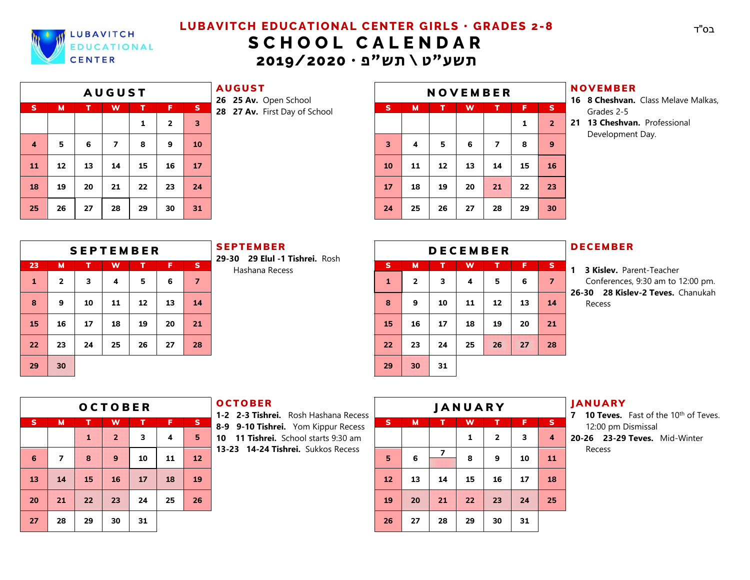

# **LUBAVITCH EDUCATIONAL CENTER GIRLS · GRADES 2-8 S C H O O L C A L E N D A R** תשע"ט \ תש"פ **• 2019/2020**

|                | <b>AUGUST</b> |    |                         |    |                |                         |  |  |  |  |  |  |  |
|----------------|---------------|----|-------------------------|----|----------------|-------------------------|--|--|--|--|--|--|--|
| $\mathbf{s}$   | M             | т  | W                       | т  | F              | S                       |  |  |  |  |  |  |  |
|                |               |    |                         | 1  | $\overline{2}$ | $\overline{\mathbf{3}}$ |  |  |  |  |  |  |  |
| $\overline{4}$ | 5             | 6  | $\overline{\mathbf{z}}$ | 8  | 9              | 10                      |  |  |  |  |  |  |  |
| 11             | 12            | 13 | 14                      | 15 | 16             | 17                      |  |  |  |  |  |  |  |
| 18             | 19            | 20 | 21                      | 22 | 23             | 24                      |  |  |  |  |  |  |  |
| 25             | 26            | 27 | 28                      | 29 | 30             | 31                      |  |  |  |  |  |  |  |

**AUGUST** 

|    |    |    | <b>AUGUST</b> |    |    |    | .<br>26 25 Av. Open School    | <b>NOVEMBER</b> |    |    |    |                |    |                 |  |  |  |
|----|----|----|---------------|----|----|----|-------------------------------|-----------------|----|----|----|----------------|----|-----------------|--|--|--|
| s. | M  |    | W             |    | ß  | S. | 28 27 Av. First Day of School | s               | м  | Π  | W  |                | Е  | <b>S</b>        |  |  |  |
|    |    |    |               | 1  | 2  | 3  |                               |                 |    |    |    |                | 1  | $\overline{2}$  |  |  |  |
| 4  | 5  | 6  | 7             | 8  | 9  | 10 |                               | 3               | 4  | 5  | 6  | 7              | 8  | 9               |  |  |  |
| 11 | 12 | 13 | 14            | 15 | 16 | 17 |                               | 10              | 11 | 12 | 13 | 14             | 15 | 16              |  |  |  |
| 18 | 19 | 20 | 21            | 22 | 23 | 24 |                               | 17              | 18 | 19 | 20 | $\mathbf{z}_1$ | 22 | 23              |  |  |  |
| 25 | 26 | 27 | 28            | 29 | 30 | 31 |                               | 24              | 25 | 26 | 27 | 28             | 29 | 30 <sup>°</sup> |  |  |  |

#### **NOVEMBER**

- **16 8 Cheshvan.** Class Melave Malkas, Grades 2-5
- **21 13 Cheshvan.** Professional Development Day.

|    |    |    |    | <b>SEPTEMBER</b> |    |                | <b>SEPTEMBER</b><br>29-30 29 Elul -1 Tishrei. Rosh | <b>DECEMBER</b> |                |    |    |    |              |                |  |  |  |
|----|----|----|----|------------------|----|----------------|----------------------------------------------------|-----------------|----------------|----|----|----|--------------|----------------|--|--|--|
| 23 | м  |    | w  |                  | F. | <b>S</b>       | Hashana Recess                                     | s               | М              |    | W  |    | Æ            | − S            |  |  |  |
| 1  | 2  | 3  | 4  | 5                | 6  | $\overline{7}$ |                                                    | 1               | $\overline{2}$ | 3  | 4  | 5  | 6            | $\overline{7}$ |  |  |  |
| 8  | 9  | 10 | 11 | 12               | 13 | 14             |                                                    | 8               | 9              | 10 | 11 | 12 | 13           | 14             |  |  |  |
| 15 | 16 | 17 | 18 | 19               | 20 | 21             |                                                    | 15              | 16             | 17 | 18 | 19 | 20           | 21             |  |  |  |
| 22 | 23 | 24 | 25 | 26               | 27 | 28             |                                                    | 22              | 23             | 24 | 25 | 26 | $\mathbf{z}$ | 28             |  |  |  |
| 29 | 30 |    |    |                  |    |                |                                                    | 29              | 30             | 31 |    |    |              |                |  |  |  |

|         |    |    | <b>SEPTEMBER</b> |    |    |                | <b>SEPTEMBER</b><br>29-30 29 Elul -1 Tishrei. Rosh |          |              |    | <b>DECEMBER</b> |    |              |                |
|---------|----|----|------------------|----|----|----------------|----------------------------------------------------|----------|--------------|----|-----------------|----|--------------|----------------|
| 23      | M  |    | W                |    | F, | 'SI            | Hashana Recess                                     | <b>S</b> | M            | AT | W               | т  | Ð            | I SI           |
|         | 2  | 3  | 4                | 5  | 6  | $\overline{7}$ |                                                    | 1        | $\mathbf{z}$ | 3  | 4               | 5  | 6            | $\overline{7}$ |
| Զ       | 9  | 10 | 11               | 12 | 13 | 14             |                                                    | 8        | 9            | 10 | 11              | 12 | 13           | 14             |
| 15      | 16 | 17 | 18               | 19 | 20 | 21             |                                                    | 15       | 16           | 17 | 18              | 19 | 20           | 21             |
| $2^{2}$ | 23 | 24 | 25               | 26 | 27 | 28             |                                                    | 22       | 23           | 24 | 25              | 26 | $\mathbf{z}$ | 28             |
| 29      | 30 |    |                  |    |    |                |                                                    | 29       | 30           | 31 |                 |    |              |                |

#### **DECEMBER**

**1 3 Kislev.** Parent-Teacher Conferences, 9:30 am to 12:00 pm. **26-30 28 Kislev-2 Teves.** Chanukah Recess

|          |                          |              | <b>OCTOBER</b>  |    |    |                 | <b>OCTOBER</b><br>1-2 2-3 Tishrei. Rosh Hashana Recess | <b>JANUARY</b> |    |        |                            |    |    |  |  |
|----------|--------------------------|--------------|-----------------|----|----|-----------------|--------------------------------------------------------|----------------|----|--------|----------------------------|----|----|--|--|
| <b>S</b> | M                        | т            | W               | т  | F. | $S_{\parallel}$ | 8-9 9-10 Tishrei. Yom Kippur Recess                    | S.             | м  | т.     | W                          | т  | F. |  |  |
|          |                          | Æ            | $\mathbf{z}$    | 3  | 4  | 5               | <b>11 Tishrei.</b> School starts 9:30 am<br>10         |                |    |        | 1                          | 2  | 3  |  |  |
| 6        | 7                        | 8            | 9.              | 10 | 11 | 12              | 13-23 14-24 Tishrei. Sukkos Recess                     | 5              | 6  | 7      | 8                          | 9  | 10 |  |  |
| 13       | 34                       | 15           | 16              | 17 | 18 | 19              |                                                        | 12             | 13 | 14     | 15                         | 16 | 17 |  |  |
| 20       | $\mathcal{D}\mathcal{N}$ | $22^{\circ}$ | 23 <sup>°</sup> | 24 | 25 | 26              |                                                        | 19             | 20 | $2\pi$ | $\boldsymbol{\mathcal{D}}$ | 23 | 24 |  |  |
| 27       | 28                       | 29           | 30              | 31 |    |                 |                                                        | 26             | 27 | 28     | 29                         | 30 | 31 |  |  |

#### **OCTOBER**

|    |    |              | <b>OCTOBER</b>  |    |    |              | <b>OCTOBER</b><br>1-2 2-3 Tishrei. Rosh Hashana Recess |    |    |    | <b>JANUARY</b>             |              |    |    |
|----|----|--------------|-----------------|----|----|--------------|--------------------------------------------------------|----|----|----|----------------------------|--------------|----|----|
| s. | м  |              | w               |    | F  | $\mathsf{S}$ | 8-9 9-10 Tishrei. Yom Kippur Recess                    | s  | м  |    | w                          |              | F  | s  |
|    |    | Ľ            | D.,             | 3  | 4  | 5            | <b>11 Tishrei.</b> School starts 9:30 am<br>10         |    |    |    | 1                          | $\mathbf{z}$ | 3  | 4  |
| 6  | 7  | 8            | я               | 10 | 11 | 12           | 13-23 14-24 Tishrei. Sukkos Recess                     | 5  | 6  |    | 8                          | 9            | 10 | 11 |
| 13 | 14 | 15           | 16              | 17 | 18 | 19           |                                                        | 12 | 13 | 14 | 15                         | 16           | 17 | 18 |
| 20 | 21 | $22^{\circ}$ | 23 <sup>°</sup> | 24 | 25 | 26           |                                                        | 19 | 20 | 21 | $\boldsymbol{\mathcal{D}}$ | 23           | 24 | 25 |
| 27 | 28 | 29           | 30              | 31 |    |              |                                                        | 26 | 27 | 28 | 29                         | 30           | 31 |    |

# **JANUARY**

- **7 10 Teves.** Fast of the 10<sup>th</sup> of Teves. 12:00 pm Dismissal
- **20-26 23-29 Teves.** Mid-Winter Recess